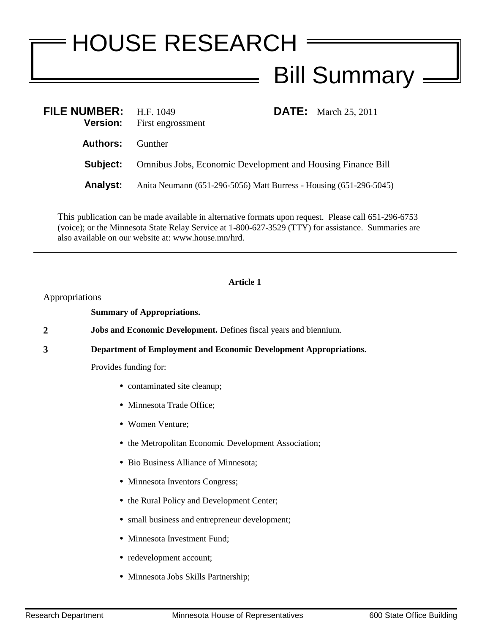# HOUSE RESEARCH Bill Summary  $=$

| FILE NUMBER: H.F. 1049<br><b>Version:</b> | <b>DATE:</b> March 25, 2011<br>First engrossment                   |  |
|-------------------------------------------|--------------------------------------------------------------------|--|
| <b>Authors:</b> Gunther                   |                                                                    |  |
| Subject:                                  | <b>Omnibus Jobs, Economic Development and Housing Finance Bill</b> |  |
| <b>Analyst:</b>                           | Anita Neumann (651-296-5056) Matt Burress - Housing (651-296-5045) |  |

This publication can be made available in alternative formats upon request. Please call 651-296-6753 (voice); or the Minnesota State Relay Service at 1-800-627-3529 (TTY) for assistance. Summaries are also available on our website at: www.house.mn/hrd.

## **Article 1**

Appropriations

**Summary of Appropriations.**

**2 Jobs and Economic Development.** Defines fiscal years and biennium.

**3 Department of Employment and Economic Development Appropriations.**

Provides funding for:

- **•** contaminated site cleanup;
- **•** Minnesota Trade Office;
- **•** Women Venture;
- **•** the Metropolitan Economic Development Association;
- **•** Bio Business Alliance of Minnesota;
- Minnesota Inventors Congress;
- **•** the Rural Policy and Development Center;
- **•** small business and entrepreneur development;
- **•** Minnesota Investment Fund;
- **•** redevelopment account;
- **•** Minnesota Jobs Skills Partnership;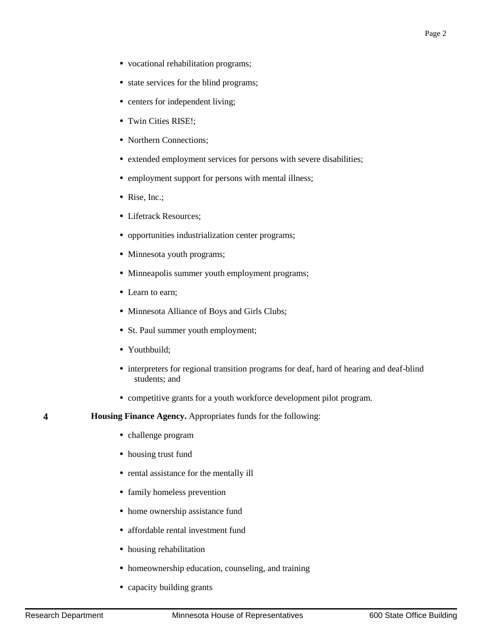- **•** vocational rehabilitation programs;
- **•** state services for the blind programs;
- **•** centers for independent living;
- **•** Twin Cities RISE!;
- Northern Connections;
- **•** extended employment services for persons with severe disabilities;
- **•** employment support for persons with mental illness;
- **•** Rise, Inc.;
- **•** Lifetrack Resources;
- **•** opportunities industrialization center programs;
- **•** Minnesota youth programs;
- **•** Minneapolis summer youth employment programs;
- **•** Learn to earn;
- **•** Minnesota Alliance of Boys and Girls Clubs;
- **•** St. Paul summer youth employment;
- **•** Youthbuild;
- interpreters for regional transition programs for deaf, hard of hearing and deaf-blind students; and
- **•** competitive grants for a youth workforce development pilot program.
- **4 Housing Finance Agency.** Appropriates funds for the following:
	- **•** challenge program
	- **•** housing trust fund
	- **•** rental assistance for the mentally ill
	- **•** family homeless prevention
	- **•** home ownership assistance fund
	- **•** affordable rental investment fund
	- **•** housing rehabilitation
	- **•** homeownership education, counseling, and training
	- **•** capacity building grants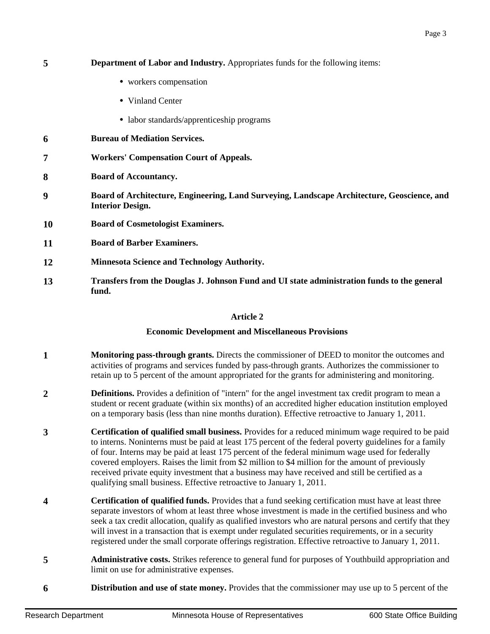| 5  | <b>Department of Labor and Industry.</b> Appropriates funds for the following items:                                   |  |
|----|------------------------------------------------------------------------------------------------------------------------|--|
|    | • workers compensation                                                                                                 |  |
|    | • Vinland Center                                                                                                       |  |
|    | • labor standards/apprenticeship programs                                                                              |  |
| 6  | <b>Bureau of Mediation Services.</b>                                                                                   |  |
| 7  | <b>Workers' Compensation Court of Appeals.</b>                                                                         |  |
| 8  | <b>Board of Accountancy.</b>                                                                                           |  |
| 9  | Board of Architecture, Engineering, Land Surveying, Landscape Architecture, Geoscience, and<br><b>Interior Design.</b> |  |
| 10 | <b>Board of Cosmetologist Examiners.</b>                                                                               |  |
| 11 | <b>Board of Barber Examiners.</b>                                                                                      |  |
| 12 | <b>Minnesota Science and Technology Authority.</b>                                                                     |  |
| 13 | Transfers from the Douglas J. Johnson Fund and UI state administration funds to the general<br>fund.                   |  |
|    |                                                                                                                        |  |

## **Article 2**

## **Economic Development and Miscellaneous Provisions**

- **1 1 Monitoring pass-through grants.** Directs the commissioner of DEED to monitor the outcomes and activities of programs and services funded by pass-through grants. Authorizes the commissioner to retain up to 5 percent of the amount appropriated for the grants for administering and monitoring.
- **2 Definitions.** Provides a definition of "intern" for the angel investment tax credit program to mean a student or recent graduate (within six months) of an accredited higher education institution employed on a temporary basis (less than nine months duration). Effective retroactive to January 1, 2011.
- **3 Certification of qualified small business.** Provides for a reduced minimum wage required to be paid to interns. Noninterns must be paid at least 175 percent of the federal poverty guidelines for a family of four. Interns may be paid at least 175 percent of the federal minimum wage used for federally covered employers. Raises the limit from \$2 million to \$4 million for the amount of previously received private equity investment that a business may have received and still be certified as a qualifying small business. Effective retroactive to January 1, 2011.
- **4 Certification of qualified funds.** Provides that a fund seeking certification must have at least three separate investors of whom at least three whose investment is made in the certified business and who seek a tax credit allocation, qualify as qualified investors who are natural persons and certify that they will invest in a transaction that is exempt under regulated securities requirements, or in a security registered under the small corporate offerings registration. Effective retroactive to January 1, 2011.
- **5 Administrative costs.** Strikes reference to general fund for purposes of Youthbuild appropriation and limit on use for administrative expenses.
- **6 bisimulation and use of state money.** Provides that the commissioner may use up to 5 percent of the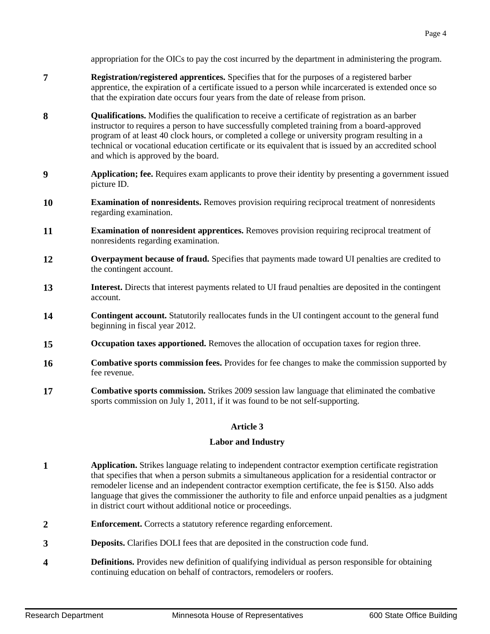appropriation for the OICs to pay the cost incurred by the department in administering the program.

- **7 Registration/registered apprentices.** Specifies that for the purposes of a registered barber apprentice, the expiration of a certificate issued to a person while incarcerated is extended once so that the expiration date occurs four years from the date of release from prison.
- **8 Qualifications.** Modifies the qualification to receive a certificate of registration as an barber instructor to requires a person to have successfully completed training from a board-approved program of at least 40 clock hours, or completed a college or university program resulting in a technical or vocational education certificate or its equivalent that is issued by an accredited school and which is approved by the board.
- **9 Application; fee.** Requires exam applicants to prove their identity by presenting a government issued picture ID.
- **10 Examination of nonresidents.** Removes provision requiring reciprocal treatment of nonresidents regarding examination.
- **11 Examination of nonresident apprentices.** Removes provision requiring reciprocal treatment of nonresidents regarding examination.
- **12 Coverpayment because of fraud.** Specifies that payments made toward UI penalties are credited to the contingent account.
- **13 Interest.** Directs that interest payments related to UI fraud penalties are deposited in the contingent account.
- **14 Contingent account.** Statutorily reallocates funds in the UI contingent account to the general fund beginning in fiscal year 2012.
- **15 Occupation taxes apportioned.** Removes the allocation of occupation taxes for region three.
- **16 Combative sports commission fees.** Provides for fee changes to make the commission supported by fee revenue.
- **17 Combative sports commission.** Strikes 2009 session law language that eliminated the combative sports commission on July 1, 2011, if it was found to be not self-supporting.

#### **Article 3**

#### **Labor and Industry**

- **1 Application.** Strikes language relating to independent contractor exemption certificate registration that specifies that when a person submits a simultaneous application for a residential contractor or remodeler license and an independent contractor exemption certificate, the fee is \$150. Also adds language that gives the commissioner the authority to file and enforce unpaid penalties as a judgment in district court without additional notice or proceedings.
- **2 Enforcement.** Corrects a statutory reference regarding enforcement.
- **3 Deposits.** Clarifies DOLI fees that are deposited in the construction code fund.
- **4 Definitions.** Provides new definition of qualifying individual as person responsible for obtaining continuing education on behalf of contractors, remodelers or roofers.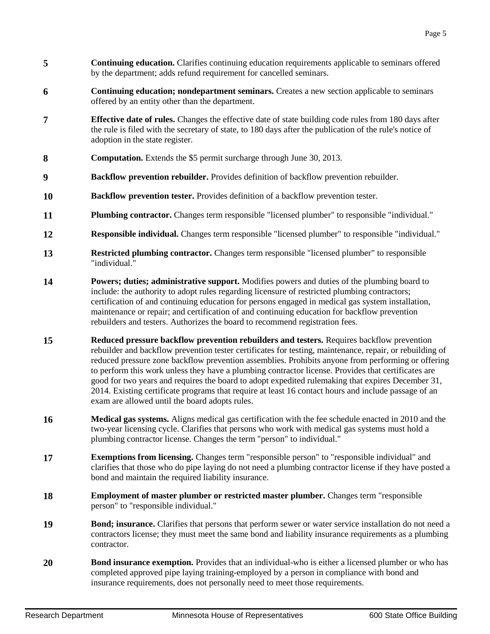- **5 Continuing education.** Clarifies continuing education requirements applicable to seminars offered by the department; adds refund requirement for cancelled seminars.
- **6 Continuing education; nondepartment seminars.** Creates a new section applicable to seminars offered by an entity other than the department.
- **7 Effective date of rules.** Changes the effective date of state building code rules from 180 days after the rule is filed with the secretary of state, to 180 days after the publication of the rule's notice of adoption in the state register.
- **8 Computation.** Extends the \$5 permit surcharge through June 30, 2013.
- **9 Backflow prevention rebuilder.** Provides definition of backflow prevention rebuilder.
- **10 Backflow prevention tester.** Provides definition of a backflow prevention tester.
- **11 Plumbing contractor.** Changes term responsible "licensed plumber" to responsible "individual."
- **12 Responsible individual.** Changes term responsible "licensed plumber" to responsible "individual."
- **13 Restricted plumbing contractor.** Changes term responsible "licensed plumber" to responsible "individual."
- **14 Powers; duties; administrative support.** Modifies powers and duties of the plumbing board to include: the authority to adopt rules regarding licensure of restricted plumbing contractors; certification of and continuing education for persons engaged in medical gas system installation, maintenance or repair; and certification of and continuing education for backflow prevention rebuilders and testers. Authorizes the board to recommend registration fees.
- **15 Reduced pressure backflow prevention rebuilders and testers.** Requires backflow prevention rebuilder and backflow prevention tester certificates for testing, maintenance, repair, or rebuilding of reduced pressure zone backflow prevention assemblies. Prohibits anyone from performing or offering to perform this work unless they have a plumbing contractor license. Provides that certificates are good for two years and requires the board to adopt expedited rulemaking that expires December 31, 2014. Existing certificate programs that require at least 16 contact hours and include passage of an exam are allowed until the board adopts rules.
- **16 Medical gas systems.** Aligns medical gas certification with the fee schedule enacted in 2010 and the two-year licensing cycle. Clarifies that persons who work with medical gas systems must hold a plumbing contractor license. Changes the term "person" to individual."
- **17 Exemptions from licensing.** Changes term "responsible person" to "responsible individual" and clarifies that those who do pipe laying do not need a plumbing contractor license if they have posted a bond and maintain the required liability insurance.
- **18 Employment of master plumber or restricted master plumber.** Changes term "responsible" person" to "responsible individual."
- **19 Bond; insurance.** Clarifies that persons that perform sewer or water service installation do not need a contractors license; they must meet the same bond and liability insurance requirements as a plumbing contractor.
- **20 Bond insurance exemption.** Provides that an individual-who is either a licensed plumber or who has completed approved pipe laying training-employed by a person in compliance with bond and insurance requirements, does not personally need to meet those requirements.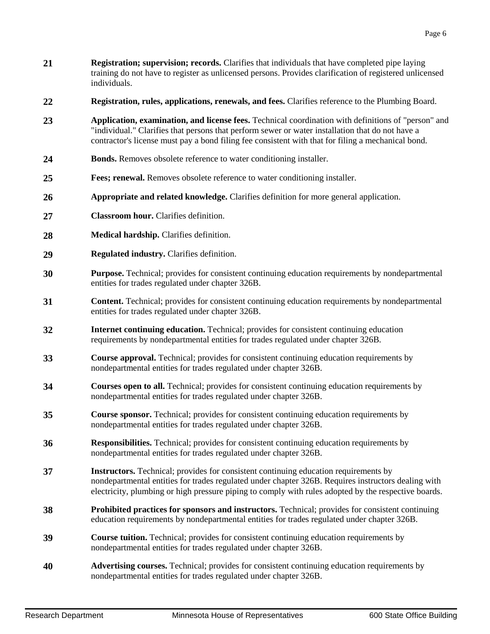- **21 Registration; supervision; records.** Clarifies that individuals that have completed pipe laying training do not have to register as unlicensed persons. Provides clarification of registered unlicensed individuals.
- **22 Registration, rules, applications, renewals, and fees.** Clarifies reference to the Plumbing Board.
- **23 Application, examination, and license fees.** Technical coordination with definitions of "person" and "individual." Clarifies that persons that perform sewer or water installation that do not have a contractor's license must pay a bond filing fee consistent with that for filing a mechanical bond.
- 24 **Bonds.** Removes obsolete reference to water conditioning installer.
- **25 Fees; renewal.** Removes obsolete reference to water conditioning installer.
- **26 Appropriate and related knowledge.** Clarifies definition for more general application.
- **27 Classroom hour.** Clarifies definition.
- 28 **Medical hardship.** Clarifies definition.
- **29 Regulated industry.** Clarifies definition.
- **30 Purpose.** Technical; provides for consistent continuing education requirements by nondepartmental entities for trades regulated under chapter 326B.
- **31 Content.** Technical; provides for consistent continuing education requirements by nondepartmental entities for trades regulated under chapter 326B.
- **32 Internet continuing education.** Technical; provides for consistent continuing education requirements by nondepartmental entities for trades regulated under chapter 326B.
- **33 Course approval.** Technical; provides for consistent continuing education requirements by nondepartmental entities for trades regulated under chapter 326B.
- **34 Courses open to all.** Technical; provides for consistent continuing education requirements by nondepartmental entities for trades regulated under chapter 326B.
- **35 Course sponsor.** Technical; provides for consistent continuing education requirements by nondepartmental entities for trades regulated under chapter 326B.
- **36 Responsibilities.** Technical; provides for consistent continuing education requirements by nondepartmental entities for trades regulated under chapter 326B.
- **37 Instructors.** Technical; provides for consistent continuing education requirements by nondepartmental entities for trades regulated under chapter 326B. Requires instructors dealing with electricity, plumbing or high pressure piping to comply with rules adopted by the respective boards.
- **38 Prohibited practices for sponsors and instructors.** Technical; provides for consistent continuing education requirements by nondepartmental entities for trades regulated under chapter 326B.
- **39 Course tuition.** Technical; provides for consistent continuing education requirements by nondepartmental entities for trades regulated under chapter 326B.
- **40 Advertising courses.** Technical; provides for consistent continuing education requirements by nondepartmental entities for trades regulated under chapter 326B.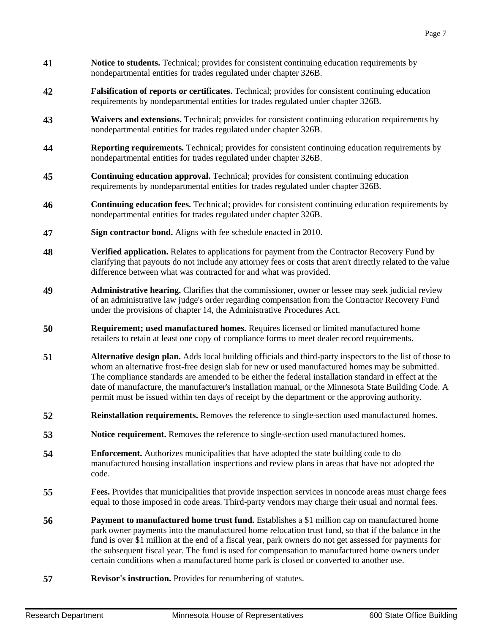- **41 Notice to students.** Technical; provides for consistent continuing education requirements by nondepartmental entities for trades regulated under chapter 326B.
- **42 Falsification of reports or certificates.** Technical; provides for consistent continuing education requirements by nondepartmental entities for trades regulated under chapter 326B.
- **43 Waivers and extensions.** Technical; provides for consistent continuing education requirements by nondepartmental entities for trades regulated under chapter 326B.
- **44 Reporting requirements.** Technical; provides for consistent continuing education requirements by nondepartmental entities for trades regulated under chapter 326B.
- **45 Continuing education approval.** Technical; provides for consistent continuing education requirements by nondepartmental entities for trades regulated under chapter 326B.
- **46 Continuing education fees.** Technical; provides for consistent continuing education requirements by nondepartmental entities for trades regulated under chapter 326B.
- **47 Sign contractor bond.** Aligns with fee schedule enacted in 2010.
- **48 Verified application.** Relates to applications for payment from the Contractor Recovery Fund by clarifying that payouts do not include any attorney fees or costs that aren't directly related to the value difference between what was contracted for and what was provided.
- **49 Administrative hearing.** Clarifies that the commissioner, owner or lessee may seek judicial review of an administrative law judge's order regarding compensation from the Contractor Recovery Fund under the provisions of chapter 14, the Administrative Procedures Act.
- **50 Requirement; used manufactured homes.** Requires licensed or limited manufactured home retailers to retain at least one copy of compliance forms to meet dealer record requirements.
- **51 Alternative design plan.** Adds local building officials and third-party inspectors to the list of those to whom an alternative frost-free design slab for new or used manufactured homes may be submitted. The compliance standards are amended to be either the federal installation standard in effect at the date of manufacture, the manufacturer's installation manual, or the Minnesota State Building Code. A permit must be issued within ten days of receipt by the department or the approving authority.
- **52 Reinstallation requirements.** Removes the reference to single-section used manufactured homes.
- **53 SPACE Notice requirement.** Removes the reference to single-section used manufactured homes.
- **54 Enforcement.** Authorizes municipalities that have adopted the state building code to do manufactured housing installation inspections and review plans in areas that have not adopted the code.
- **55 Fees.** Provides that municipalities that provide inspection services in noncode areas must charge fees equal to those imposed in code areas. Third-party vendors may charge their usual and normal fees.
- **56 Payment to manufactured home trust fund.** Establishes a \$1 million cap on manufactured home park owner payments into the manufactured home relocation trust fund, so that if the balance in the fund is over \$1 million at the end of a fiscal year, park owners do not get assessed for payments for the subsequent fiscal year. The fund is used for compensation to manufactured home owners under certain conditions when a manufactured home park is closed or converted to another use.
- **57 Revisor's instruction.** Provides for renumbering of statutes.